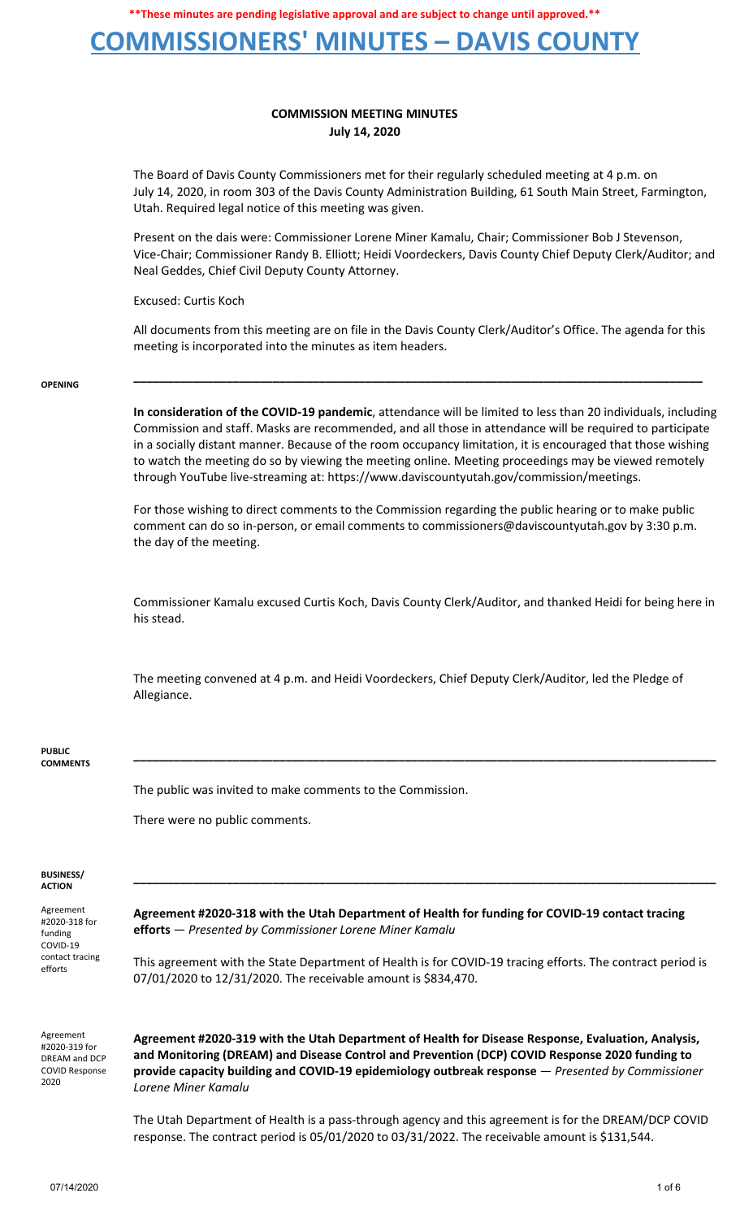### **COMMISSIONERS' MINUTES – DAVIS COUNTY**

### **COMMISSION MEETING MINUTES July 14, 2020**

The Board of Davis County Commissioners met for their regularly scheduled meeting at 4 p.m. on July 14, 2020, in room 303 of the Davis County Administration Building, 61 South Main Street, Farmington, Utah. Required legal notice of this meeting was given.

Present on the dais were: Commissioner Lorene Miner Kamalu, Chair; Commissioner Bob J Stevenson, Vice-Chair; Commissioner Randy B. Elliott; Heidi Voordeckers, Davis County Chief Deputy Clerk/Auditor; and Neal Geddes, Chief Civil Deputy County Attorney.

Excused: Curtis Koch

All documents from this meeting are on file in the Davis County Clerk/Auditor's Office. The agenda for this meeting is incorporated into the minutes as item headers.

**\_\_\_\_\_\_\_\_\_\_\_\_\_\_\_\_\_\_\_\_\_\_\_\_\_\_\_\_\_\_\_\_\_\_\_\_\_\_\_\_\_\_\_\_\_\_\_\_\_\_\_\_\_\_\_\_\_\_\_\_\_\_\_\_\_\_\_\_\_\_\_\_\_\_\_\_\_\_\_\_\_\_\_\_\_\_**

#### **OPENING**

**In consideration of the COVID-19 pandemic**, attendance will be limited to less than 20 individuals, including Commission and staff. Masks are recommended, and all those in attendance will be required to participate in a socially distant manner. Because of the room occupancy limitation, it is encouraged that those wishing to watch the meeting do so by viewing the meeting online. Meeting proceedings may be viewed remotely through YouTube live-streaming at: https://www.daviscountyutah.gov/commission/meetings.

For those wishing to direct comments to the Commission regarding the public hearing or to make public comment can do so in-person, or email comments to commissioners@daviscountyutah.gov by 3:30 p.m. the day of the meeting.

Commissioner Kamalu excused Curtis Koch, Davis County Clerk/Auditor, and thanked Heidi for being here in his stead.

**\_\_\_\_\_\_\_\_\_\_\_\_\_\_\_\_\_\_\_\_\_\_\_\_\_\_\_\_\_\_\_\_\_\_\_\_\_\_\_\_\_\_\_\_\_\_\_\_\_\_\_\_\_\_\_\_\_\_\_\_\_\_\_\_\_\_\_\_\_\_\_\_\_\_\_\_\_\_\_\_\_\_\_\_\_\_\_\_**

**\_\_\_\_\_\_\_\_\_\_\_\_\_\_\_\_\_\_\_\_\_\_\_\_\_\_\_\_\_\_\_\_\_\_\_\_\_\_\_\_\_\_\_\_\_\_\_\_\_\_\_\_\_\_\_\_\_\_\_\_\_\_\_\_\_\_\_\_\_\_\_\_\_\_\_\_\_\_\_\_\_\_\_\_\_\_\_\_**

The meeting convened at 4 p.m. and Heidi Voordeckers, Chief Deputy Clerk/Auditor, led the Pledge of Allegiance.

#### **PUBLIC COMMENTS**

The public was invited to make comments to the Commission.

There were no public comments.

#### **BUSINESS/ ACTION**

Agreement #2020-318 for funding COVID-19 contact tracing efforts

**Agreement #2020-318 with the Utah Department of Health for funding for COVID-19 contact tracing efforts** — *Presented by Commissioner Lorene Miner Kamalu*

This agreement with the State Department of Health is for COVID-19 tracing efforts. The contract period is 07/01/2020 to 12/31/2020. The receivable amount is \$834,470.

Agreement #2020-319 for DREAM and DCP COVID Response 2020

**Agreement #2020-319 with the Utah Department of Health for Disease Response, Evaluation, Analysis, and Monitoring (DREAM) and Disease Control and Prevention (DCP) COVID Response 2020 funding to provide capacity building and COVID-19 epidemiology outbreak response** — *Presented by Commissioner Lorene Miner Kamalu*

The Utah Department of Health is a pass-through agency and this agreement is for the DREAM/DCP COVID response. The contract period is 05/01/2020 to 03/31/2022. The receivable amount is \$131,544.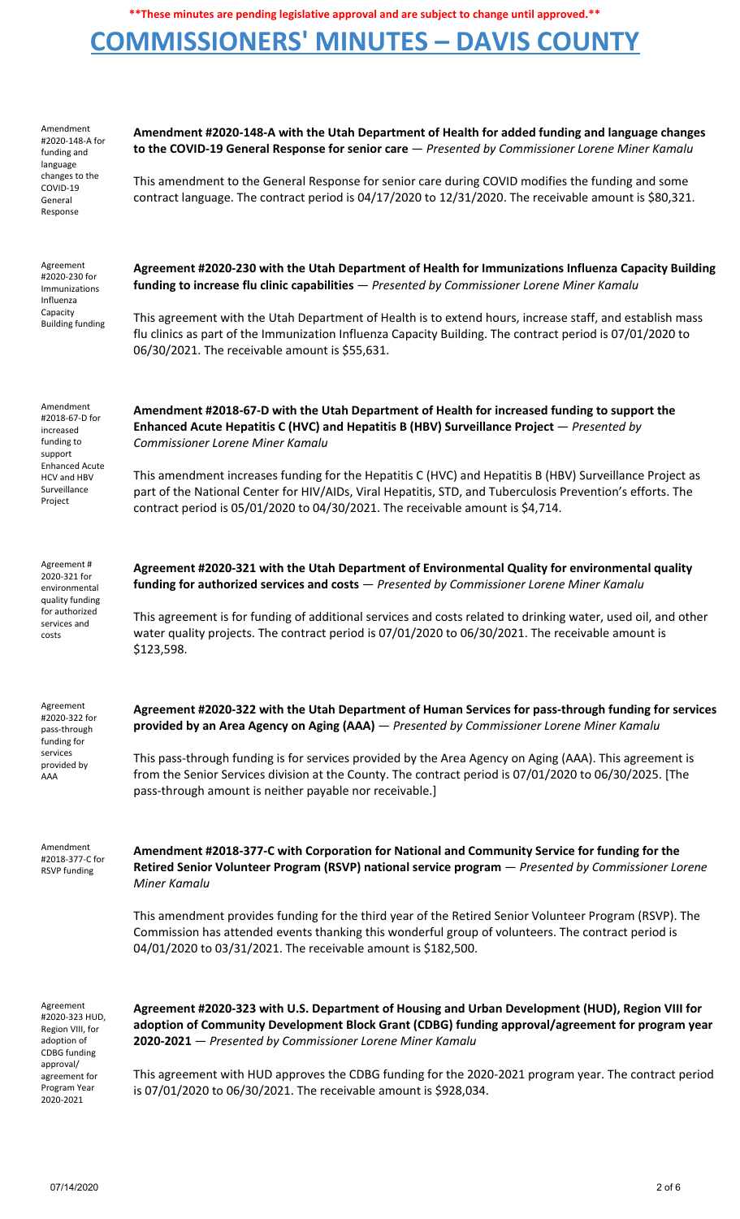## **COMMISSIONERS' MINUTES – DAVIS COUNTY**

| Amendment<br>#2020-148-A for<br>funding and<br>language<br>changes to the<br>COVID-19<br>General<br>Response                                     | Amendment #2020-148-A with the Utah Department of Health for added funding and language changes<br>to the COVID-19 General Response for senior care - Presented by Commissioner Lorene Miner Kamalu<br>This amendment to the General Response for senior care during COVID modifies the funding and some<br>contract language. The contract period is 04/17/2020 to 12/31/2020. The receivable amount is \$80,321.                                                                                                                                |
|--------------------------------------------------------------------------------------------------------------------------------------------------|---------------------------------------------------------------------------------------------------------------------------------------------------------------------------------------------------------------------------------------------------------------------------------------------------------------------------------------------------------------------------------------------------------------------------------------------------------------------------------------------------------------------------------------------------|
| Agreement<br>#2020-230 for<br>Immunizations<br>Influenza<br>Capacity<br><b>Building funding</b>                                                  | Agreement #2020-230 with the Utah Department of Health for Immunizations Influenza Capacity Building<br>funding to increase flu clinic capabilities - Presented by Commissioner Lorene Miner Kamalu<br>This agreement with the Utah Department of Health is to extend hours, increase staff, and establish mass<br>flu clinics as part of the Immunization Influenza Capacity Building. The contract period is 07/01/2020 to<br>06/30/2021. The receivable amount is \$55,631.                                                                    |
| Amendment<br>#2018-67-D for<br>increased<br>funding to<br>support<br><b>Enhanced Acute</b><br>HCV and HBV<br>Surveillance<br>Project             | Amendment #2018-67-D with the Utah Department of Health for increased funding to support the<br>Enhanced Acute Hepatitis C (HVC) and Hepatitis B (HBV) Surveillance Project - Presented by<br><b>Commissioner Lorene Miner Kamalu</b><br>This amendment increases funding for the Hepatitis C (HVC) and Hepatitis B (HBV) Surveillance Project as<br>part of the National Center for HIV/AIDs, Viral Hepatitis, STD, and Tuberculosis Prevention's efforts. The<br>contract period is 05/01/2020 to 04/30/2021. The receivable amount is \$4,714. |
| Agreement#<br>2020-321 for<br>environmental<br>quality funding<br>for authorized<br>services and<br>costs                                        | Agreement #2020-321 with the Utah Department of Environmental Quality for environmental quality<br>funding for authorized services and costs - Presented by Commissioner Lorene Miner Kamalu<br>This agreement is for funding of additional services and costs related to drinking water, used oil, and other<br>water quality projects. The contract period is 07/01/2020 to 06/30/2021. The receivable amount is<br>\$123,598.                                                                                                                  |
| Agreement<br>#2020-322 for<br>pass-through<br>funding for<br>services<br>provided by<br>AAA                                                      | Agreement #2020-322 with the Utah Department of Human Services for pass-through funding for services<br>provided by an Area Agency on Aging (AAA) - Presented by Commissioner Lorene Miner Kamalu<br>This pass-through funding is for services provided by the Area Agency on Aging (AAA). This agreement is<br>from the Senior Services division at the County. The contract period is 07/01/2020 to 06/30/2025. [The<br>pass-through amount is neither payable nor receivable.]                                                                 |
| Amendment<br>#2018-377-C for<br><b>RSVP</b> funding                                                                                              | Amendment #2018-377-C with Corporation for National and Community Service for funding for the<br>Retired Senior Volunteer Program (RSVP) national service program - Presented by Commissioner Lorene<br>Miner Kamalu<br>This amendment provides funding for the third year of the Retired Senior Volunteer Program (RSVP). The<br>Commission has attended events thanking this wonderful group of volunteers. The contract period is<br>04/01/2020 to 03/31/2021. The receivable amount is \$182,500.                                             |
| Agreement<br>#2020-323 HUD,<br>Region VIII, for<br>adoption of<br><b>CDBG</b> funding<br>approval/<br>agreement for<br>Program Year<br>2020-2021 | Agreement #2020-323 with U.S. Department of Housing and Urban Development (HUD), Region VIII for<br>adoption of Community Development Block Grant (CDBG) funding approval/agreement for program year<br>2020-2021 - Presented by Commissioner Lorene Miner Kamalu<br>This agreement with HUD approves the CDBG funding for the 2020-2021 program year. The contract period<br>is 07/01/2020 to 06/30/2021. The receivable amount is \$928,034.                                                                                                    |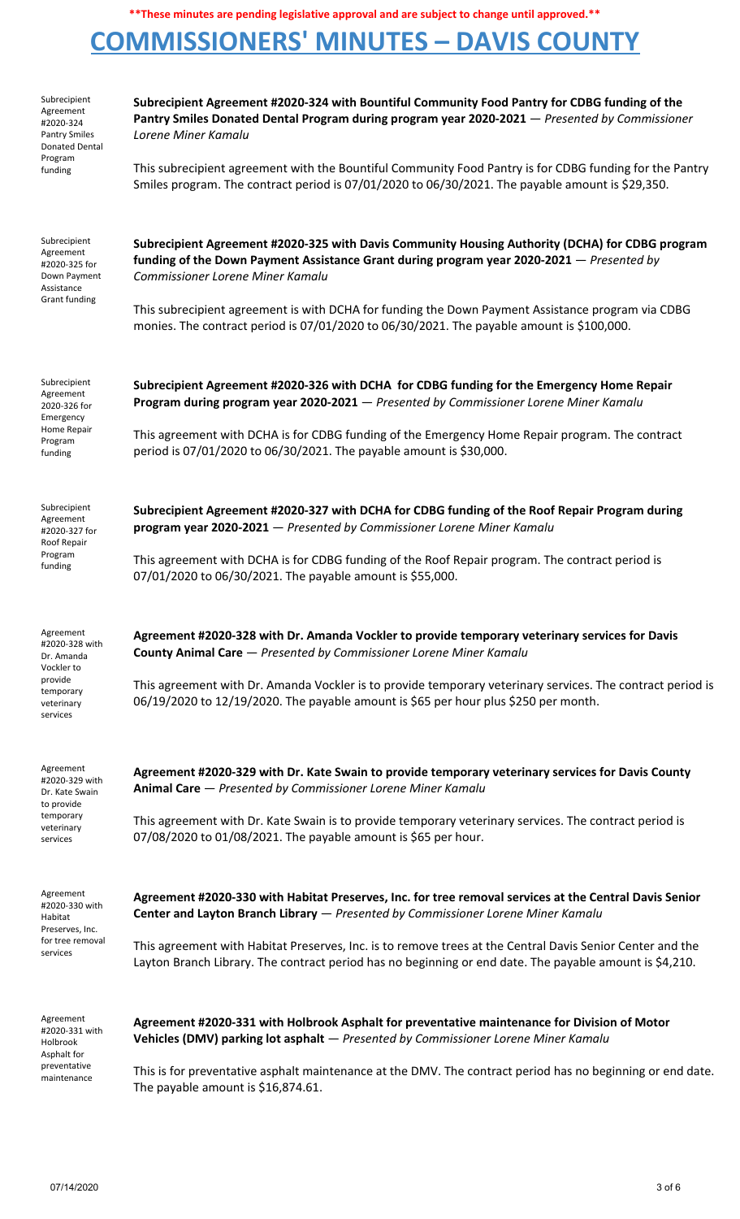## **COMMISSIONERS' MINUTES – DAVIS COUNTY**

| Subrecipient<br>Agreement<br>#2020-324<br><b>Pantry Smiles</b><br>Donated Dental<br>Program<br>funding    | Subrecipient Agreement #2020-324 with Bountiful Community Food Pantry for CDBG funding of the<br>Pantry Smiles Donated Dental Program during program year 2020-2021 - Presented by Commissioner<br>Lorene Miner Kamalu<br>This subrecipient agreement with the Bountiful Community Food Pantry is for CDBG funding for the Pantry<br>Smiles program. The contract period is 07/01/2020 to 06/30/2021. The payable amount is \$29,350. |
|-----------------------------------------------------------------------------------------------------------|---------------------------------------------------------------------------------------------------------------------------------------------------------------------------------------------------------------------------------------------------------------------------------------------------------------------------------------------------------------------------------------------------------------------------------------|
| Subrecipient<br>Agreement<br>#2020-325 for<br>Down Payment<br>Assistance<br>Grant funding                 | Subrecipient Agreement #2020-325 with Davis Community Housing Authority (DCHA) for CDBG program<br>funding of the Down Payment Assistance Grant during program year 2020-2021 – Presented by<br>Commissioner Lorene Miner Kamalu<br>This subrecipient agreement is with DCHA for funding the Down Payment Assistance program via CDBG<br>monies. The contract period is 07/01/2020 to 06/30/2021. The payable amount is \$100,000.    |
| Subrecipient<br>Agreement<br>2020-326 for<br>Emergency<br>Home Repair<br>Program<br>funding               | Subrecipient Agreement #2020-326 with DCHA for CDBG funding for the Emergency Home Repair<br>Program during program year 2020-2021 - Presented by Commissioner Lorene Miner Kamalu<br>This agreement with DCHA is for CDBG funding of the Emergency Home Repair program. The contract<br>period is 07/01/2020 to 06/30/2021. The payable amount is \$30,000.                                                                          |
| Subrecipient<br>Agreement<br>#2020-327 for<br>Roof Repair<br>Program<br>funding                           | Subrecipient Agreement #2020-327 with DCHA for CDBG funding of the Roof Repair Program during<br>program year 2020-2021 - Presented by Commissioner Lorene Miner Kamalu<br>This agreement with DCHA is for CDBG funding of the Roof Repair program. The contract period is<br>07/01/2020 to 06/30/2021. The payable amount is \$55,000.                                                                                               |
| Agreement<br>#2020-328 with<br>Dr. Amanda<br>Vockler to<br>provide<br>temporary<br>veterinary<br>services | Agreement #2020-328 with Dr. Amanda Vockler to provide temporary veterinary services for Davis<br>County Animal Care - Presented by Commissioner Lorene Miner Kamalu<br>This agreement with Dr. Amanda Vockler is to provide temporary veterinary services. The contract period is<br>06/19/2020 to 12/19/2020. The payable amount is \$65 per hour plus \$250 per month.                                                             |
| Agreement<br>#2020-329 with<br>Dr. Kate Swain<br>to provide<br>temporary<br>veterinary<br>services        | Agreement #2020-329 with Dr. Kate Swain to provide temporary veterinary services for Davis County<br>Animal Care - Presented by Commissioner Lorene Miner Kamalu<br>This agreement with Dr. Kate Swain is to provide temporary veterinary services. The contract period is<br>07/08/2020 to 01/08/2021. The payable amount is \$65 per hour.                                                                                          |
| Agreement<br>#2020-330 with<br>Habitat<br>Preserves, Inc.<br>for tree removal<br>services                 | Agreement #2020-330 with Habitat Preserves, Inc. for tree removal services at the Central Davis Senior<br>Center and Layton Branch Library - Presented by Commissioner Lorene Miner Kamalu<br>This agreement with Habitat Preserves, Inc. is to remove trees at the Central Davis Senior Center and the<br>Layton Branch Library. The contract period has no beginning or end date. The payable amount is \$4,210.                    |
| Agreement<br>#2020-331 with<br>Holbrook<br>Asphalt for<br>preventative<br>maintenance                     | Agreement #2020-331 with Holbrook Asphalt for preventative maintenance for Division of Motor<br>Vehicles (DMV) parking lot asphalt - Presented by Commissioner Lorene Miner Kamalu<br>This is for preventative asphalt maintenance at the DMV. The contract period has no beginning or end date.<br>The payable amount is \$16,874.61.                                                                                                |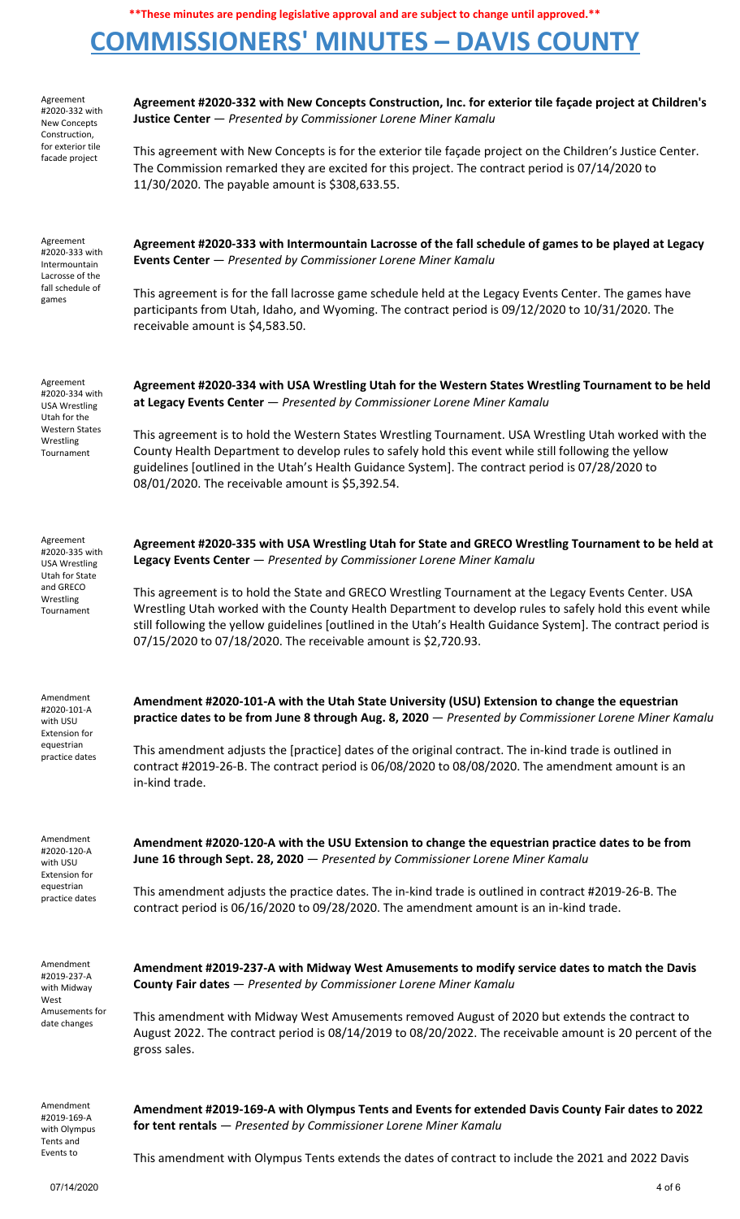# **COMMISSIONERS' MINUTES – DAVIS COUNTY**

| Agreement<br>#2020-332 with<br><b>New Concepts</b><br>Construction,<br>for exterior tile<br>facade project              | Agreement #2020-332 with New Concepts Construction, Inc. for exterior tile façade project at Children's<br>Justice Center - Presented by Commissioner Lorene Miner Kamalu                                                                                                                                                                                                                          |
|-------------------------------------------------------------------------------------------------------------------------|----------------------------------------------------------------------------------------------------------------------------------------------------------------------------------------------------------------------------------------------------------------------------------------------------------------------------------------------------------------------------------------------------|
|                                                                                                                         | This agreement with New Concepts is for the exterior tile façade project on the Children's Justice Center.<br>The Commission remarked they are excited for this project. The contract period is 07/14/2020 to<br>11/30/2020. The payable amount is \$308,633.55.                                                                                                                                   |
| Agreement<br>#2020-333 with<br>Intermountain<br>Lacrosse of the<br>fall schedule of<br>games                            | Agreement #2020-333 with Intermountain Lacrosse of the fall schedule of games to be played at Legacy<br>Events Center - Presented by Commissioner Lorene Miner Kamalu                                                                                                                                                                                                                              |
|                                                                                                                         | This agreement is for the fall lacrosse game schedule held at the Legacy Events Center. The games have<br>participants from Utah, Idaho, and Wyoming. The contract period is 09/12/2020 to 10/31/2020. The<br>receivable amount is \$4,583.50.                                                                                                                                                     |
| Agreement<br>#2020-334 with<br><b>USA Wrestling</b><br>Utah for the<br><b>Western States</b><br>Wrestling<br>Tournament | Agreement #2020-334 with USA Wrestling Utah for the Western States Wrestling Tournament to be held<br>at Legacy Events Center - Presented by Commissioner Lorene Miner Kamalu                                                                                                                                                                                                                      |
|                                                                                                                         | This agreement is to hold the Western States Wrestling Tournament. USA Wrestling Utah worked with the<br>County Health Department to develop rules to safely hold this event while still following the yellow<br>guidelines [outlined in the Utah's Health Guidance System]. The contract period is 07/28/2020 to<br>08/01/2020. The receivable amount is \$5,392.54.                              |
| Agreement<br>#2020-335 with<br><b>USA Wrestling</b><br>Utah for State<br>and GRECO<br>Wrestling<br>Tournament           | Agreement #2020-335 with USA Wrestling Utah for State and GRECO Wrestling Tournament to be held at<br>Legacy Events Center - Presented by Commissioner Lorene Miner Kamalu                                                                                                                                                                                                                         |
|                                                                                                                         | This agreement is to hold the State and GRECO Wrestling Tournament at the Legacy Events Center. USA<br>Wrestling Utah worked with the County Health Department to develop rules to safely hold this event while<br>still following the yellow guidelines [outlined in the Utah's Health Guidance System]. The contract period is<br>07/15/2020 to 07/18/2020. The receivable amount is \$2,720.93. |
| Amendment<br>#2020-101-A<br>with USU<br><b>Extension for</b><br>equestrian<br>practice dates                            | Amendment #2020-101-A with the Utah State University (USU) Extension to change the equestrian<br>practice dates to be from June 8 through Aug. 8, 2020 - Presented by Commissioner Lorene Miner Kamalu                                                                                                                                                                                             |
|                                                                                                                         | This amendment adjusts the [practice] dates of the original contract. The in-kind trade is outlined in<br>contract #2019-26-B. The contract period is 06/08/2020 to 08/08/2020. The amendment amount is an<br>in-kind trade.                                                                                                                                                                       |
| Amendment<br>#2020-120-A<br>with USU<br><b>Extension for</b><br>equestrian<br>practice dates                            | Amendment #2020-120-A with the USU Extension to change the equestrian practice dates to be from<br>June 16 through Sept. 28, 2020 - Presented by Commissioner Lorene Miner Kamalu                                                                                                                                                                                                                  |
|                                                                                                                         | This amendment adjusts the practice dates. The in-kind trade is outlined in contract #2019-26-B. The<br>contract period is 06/16/2020 to 09/28/2020. The amendment amount is an in-kind trade.                                                                                                                                                                                                     |
| Amendment<br>#2019-237-A<br>with Midway<br>West<br>Amusements for<br>date changes                                       | Amendment #2019-237-A with Midway West Amusements to modify service dates to match the Davis<br>County Fair dates - Presented by Commissioner Lorene Miner Kamalu                                                                                                                                                                                                                                  |
|                                                                                                                         | This amendment with Midway West Amusements removed August of 2020 but extends the contract to<br>August 2022. The contract period is 08/14/2019 to 08/20/2022. The receivable amount is 20 percent of the<br>gross sales.                                                                                                                                                                          |
| Amendment<br>#2019-169-A<br>with Olympus<br>Tents and<br>Events to                                                      | Amendment #2019-169-A with Olympus Tents and Events for extended Davis County Fair dates to 2022<br>for tent rentals - Presented by Commissioner Lorene Miner Kamalu                                                                                                                                                                                                                               |
|                                                                                                                         | This amendment with Olympus Tents extends the dates of contract to include the 2021 and 2022 Davis                                                                                                                                                                                                                                                                                                 |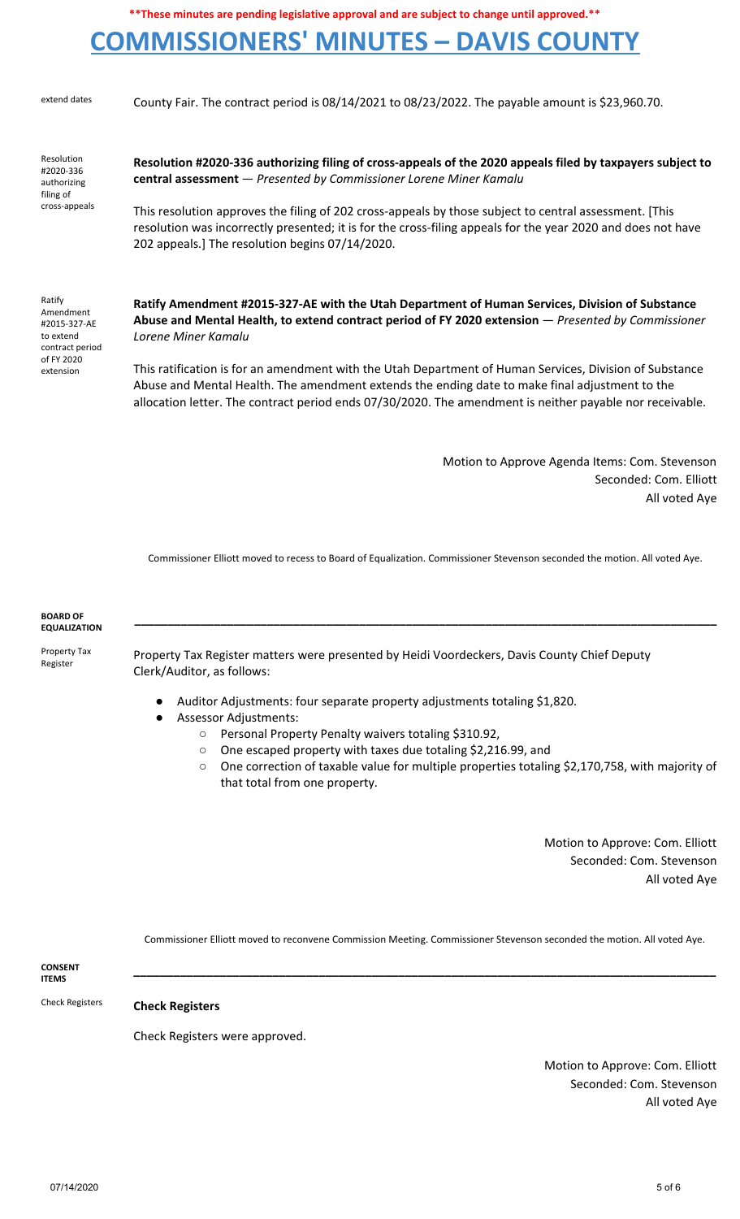## **COMMISSIONERS' MINUTES – DAVIS COUNTY**

extend dates County Fair. The contract period is 08/14/2021 to 08/23/2022. The payable amount is \$23,960.70.

Resolution #2020-336 authorizing filing of cross-appeals

**Resolution #2020-336 authorizing filing of cross-appeals of the 2020 appeals filed by taxpayers subject to central assessment** — *Presented by Commissioner Lorene Miner Kamalu*

This resolution approves the filing of 202 cross-appeals by those subject to central assessment. [This resolution was incorrectly presented; it is for the cross-filing appeals for the year 2020 and does not have 202 appeals.] The resolution begins 07/14/2020.

Ratify Amendment #2015-327-AE to extend contract period of FY 2020 extension

**Ratify Amendment #2015-327-AE with the Utah Department of Human Services, Division of Substance Abuse and Mental Health, to extend contract period of FY 2020 extension** — *Presented by Commissioner Lorene Miner Kamalu*

This ratification is for an amendment with the Utah Department of Human Services, Division of Substance Abuse and Mental Health. The amendment extends the ending date to make final adjustment to the allocation letter. The contract period ends 07/30/2020. The amendment is neither payable nor receivable.

> Motion to Approve Agenda Items: Com. Stevenson Seconded: Com. Elliott All voted Aye

Commissioner Elliott moved to recess to Board of Equalization. Commissioner Stevenson seconded the motion. All voted Aye.

**\_\_\_\_\_\_\_\_\_\_\_\_\_\_\_\_\_\_\_\_\_\_\_\_\_\_\_\_\_\_\_\_\_\_\_\_\_\_\_\_\_\_\_\_\_\_\_\_\_\_\_\_\_\_\_\_\_\_\_\_\_\_\_\_\_\_\_\_\_\_\_\_\_\_\_\_\_\_\_\_\_\_\_\_\_\_\_\_**

**BOARD OF EQUALIZATION**

Property Tax Register

Property Tax Register matters were presented by Heidi Voordeckers, Davis County Chief Deputy Clerk/Auditor, as follows:

- Auditor Adjustments: four separate property adjustments totaling \$1,820.
- Assessor Adjustments:
	- Personal Property Penalty waivers totaling \$310.92,
	- One escaped property with taxes due totaling \$2,216.99, and
	- One correction of taxable value for multiple properties totaling \$2,170,758, with majority of that total from one property.

Motion to Approve: Com. Elliott Seconded: Com. Stevenson All voted Aye

Commissioner Elliott moved to reconvene Commission Meeting. Commissioner Stevenson seconded the motion. All voted Aye.

**\_\_\_\_\_\_\_\_\_\_\_\_\_\_\_\_\_\_\_\_\_\_\_\_\_\_\_\_\_\_\_\_\_\_\_\_\_\_\_\_\_\_\_\_\_\_\_\_\_\_\_\_\_\_\_\_\_\_\_\_\_\_\_\_\_\_\_\_\_\_\_\_\_\_\_\_\_\_\_\_\_\_\_\_\_\_\_\_**

**CONSENT ITEMS**

Check Registers **Check Registers**

Check Registers were approved.

Motion to Approve: Com. Elliott Seconded: Com. Stevenson All voted Aye